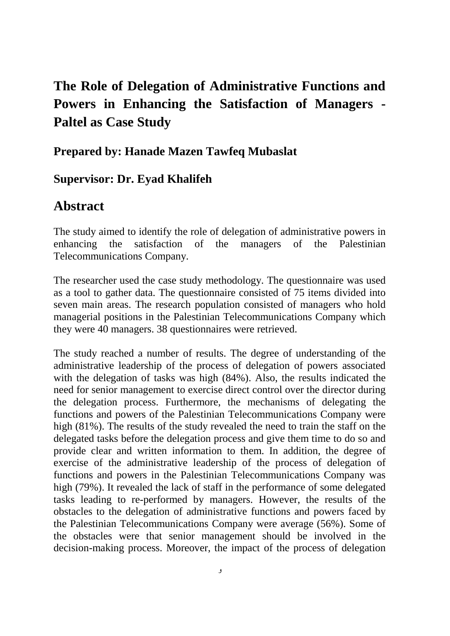## **The Role of Delegation of Administrative Functions and Powers in Enhancing the Satisfaction of Managers - Paltel as Case Study**

**Prepared by: Hanade Mazen Tawfeq Mubaslat**

## **Supervisor: Dr. Eyad Khalifeh**

## **Abstract**

The study aimed to identify the role of delegation of administrative powers in enhancing the satisfaction of the managers of the Palestinian Telecommunications Company.

The researcher used the case study methodology. The questionnaire was used as a tool to gather data. The questionnaire consisted of 75 items divided into seven main areas. The research population consisted of managers who hold managerial positions in the Palestinian Telecommunications Company which they were 40 managers. 38 questionnaires were retrieved.

The study reached a number of results. The degree of understanding of the administrative leadership of the process of delegation of powers associated with the delegation of tasks was high (84%). Also, the results indicated the need for senior management to exercise direct control over the director during the delegation process. Furthermore, the mechanisms of delegating the functions and powers of the Palestinian Telecommunications Company were high (81%). The results of the study revealed the need to train the staff on the delegated tasks before the delegation process and give them time to do so and provide clear and written information to them. In addition, the degree of exercise of the administrative leadership of the process of delegation of functions and powers in the Palestinian Telecommunications Company was high (79%). It revealed the lack of staff in the performance of some delegated tasks leading to re-performed by managers. However, the results of the obstacles to the delegation of administrative functions and powers faced by the Palestinian Telecommunications Company were average (56%). Some of the obstacles were that senior management should be involved in the decision-making process. Moreover, the impact of the process of delegation